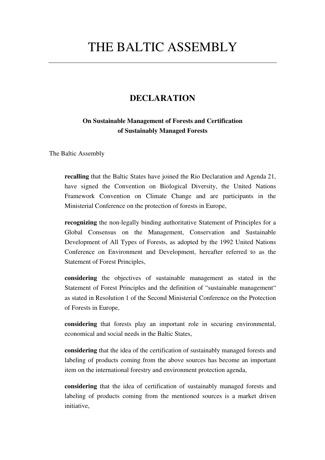## THE BALTIC ASSEMBLY

## **DECLARATION**

## **On Sustainable Management of Forests and Certification of Sustainably Managed Forests**

The Baltic Assembly

**recalling** that the Baltic States have joined the Rio Declaration and Agenda 21, have signed the Convention on Biological Diversity, the United Nations Framework Convention on Climate Change and are participants in the Ministerial Conference on the protection of forests in Europe,

**recognizing** the non-legally binding authoritative Statement of Principles for a Global Consensus on the Management, Conservation and Sustainable Development of All Types of Forests, as adopted by the 1992 United Nations Conference on Environment and Development, hereafter referred to as the Statement of Forest Principles,

**considering** the objectives of sustainable management as stated in the Statement of Forest Principles and the definition of "sustainable management" as stated in Resolution 1 of the Second Ministerial Conference on the Protection of Forests in Europe,

**considering** that forests play an important role in securing environmental, economical and social needs in the Baltic States,

**considering** that the idea of the certification of sustainably managed forests and labeling of products coming from the above sources has become an important item on the international forestry and environment protection agenda,

**considering** that the idea of certification of sustainably managed forests and labeling of products coming from the mentioned sources is a market driven initiative,